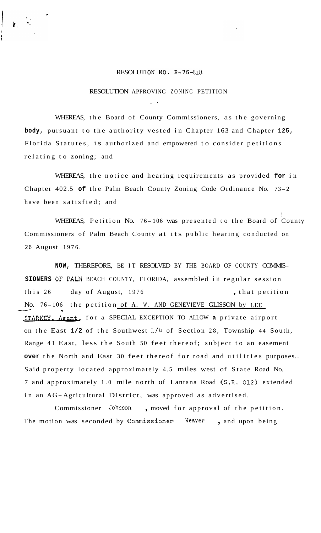## RESOLUTION NO. R-76-318

## RESOLUTION APPROVING ZONING PETITION

*<sup>I</sup>*'.

WHEREAS, the Board of County Commissioners, as the governing **body,** pursuant to the authority vested in Chapter 163 and Chapter **125,**  Florida Statutes, is authorized and empowered to consider petitions relating to zoning; and

WHEREAS, the notice and hearing requirements as provided **for** in Chapter 402.5 **of** the Palm Beach County Zoning Code Ordinance No. 73-2 have been satisfied; and

! WHEREAS, Petition No. 76- 106 was presented to the Board of County Commissioners of Palm Beach County at its public hearing conducted on 26 August 1976.

**NOW,** THEREFORE, BE IT RESOLVED BY THE BOARD OF COUNTY COMMIS-**SIONERS** OF.PALM BEACH COUNTY, FLORIDA, assembled in regular session this 26 day of August, 1976 , that petition No. 76-106 the petition of A. W. AND GENEVIEVE GLISSON by LEE STARKEY. Agent, for a SPECIAL EXCEPTION TO ALLOW a private airport on the East **1/2** of the Southwest 1/4 of Section 28, Township 44 South, Range 41 East, less the South 50 feet thereof; subject to an easement **over** the North and East 30 feet thereof for road and utilities purposes.. Said property located approximately 4.5 miles west of State Road No. 7 and approximately 1.0 mile north of Lantana Road (S.R. **812)** extended in an AG-Agricultural District, was approved as advertised.

Commissioner Johnson , moved for approval of the petition. The motion was seconded by Commissioner **Weaver** , and upon being